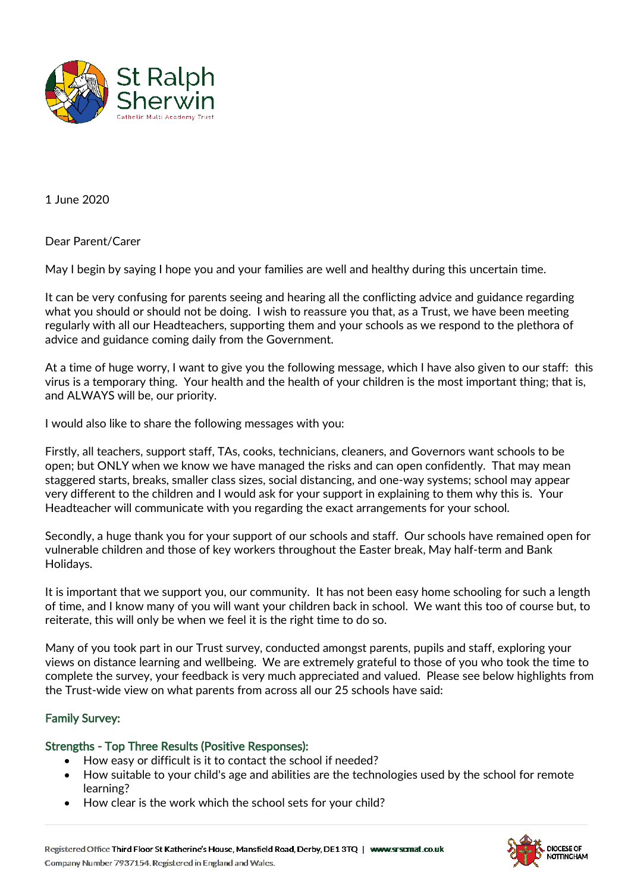

1 June 2020

Dear Parent/Carer

May I begin by saying I hope you and your families are well and healthy during this uncertain time.

It can be very confusing for parents seeing and hearing all the conflicting advice and guidance regarding what you should or should not be doing. I wish to reassure you that, as a Trust, we have been meeting regularly with all our Headteachers, supporting them and your schools as we respond to the plethora of advice and guidance coming daily from the Government.

At a time of huge worry, I want to give you the following message, which I have also given to our staff: this virus is a temporary thing. Your health and the health of your children is the most important thing; that is, and ALWAYS will be, our priority.

I would also like to share the following messages with you:

Firstly, all teachers, support staff, TAs, cooks, technicians, cleaners, and Governors want schools to be open; but ONLY when we know we have managed the risks and can open confidently. That may mean staggered starts, breaks, smaller class sizes, social distancing, and one-way systems; school may appear very different to the children and I would ask for your support in explaining to them why this is. Your Headteacher will communicate with you regarding the exact arrangements for your school.

Secondly, a huge thank you for your support of our schools and staff. Our schools have remained open for vulnerable children and those of key workers throughout the Easter break, May half-term and Bank Holidays.

It is important that we support you, our community. It has not been easy home schooling for such a length of time, and I know many of you will want your children back in school. We want this too of course but, to reiterate, this will only be when we feel it is the right time to do so.

Many of you took part in our Trust survey, conducted amongst parents, pupils and staff, exploring your views on distance learning and wellbeing. We are extremely grateful to those of you who took the time to complete the survey, your feedback is very much appreciated and valued. Please see below highlights from the Trust-wide view on what parents from across all our 25 schools have said:

# Family Survey:

### Strengths - Top Three Results (Positive Responses):

- How easy or difficult is it to contact the school if needed?
- How suitable to your child's age and abilities are the technologies used by the school for remote learning?
- How clear is the work which the school sets for your child?

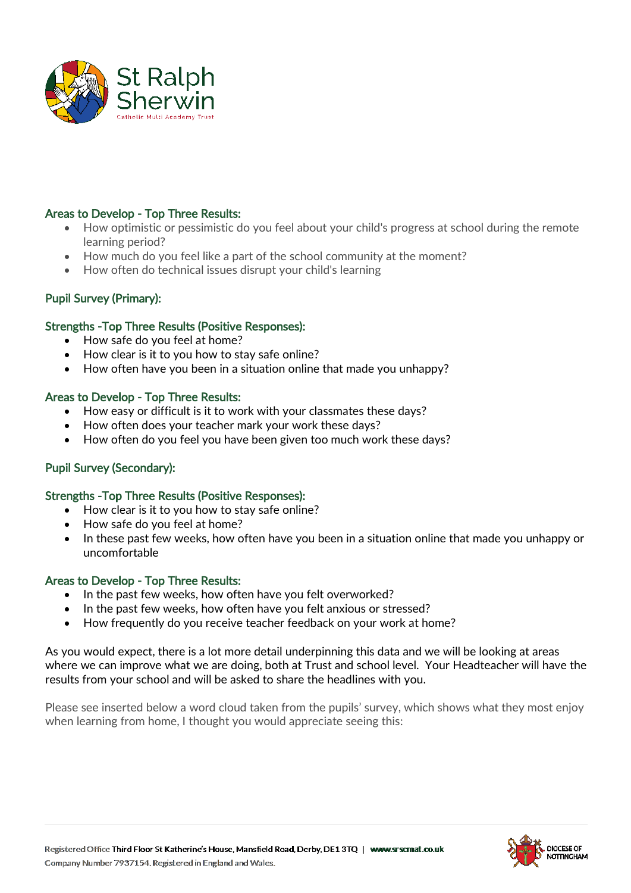

# Areas to Develop - Top Three Results:

- How optimistic or pessimistic do you feel about your child's progress at school during the remote learning period?
- How much do you feel like a part of the school community at the moment?
- How often do technical issues disrupt your child's learning

# Pupil Survey (Primary):

## Strengths -Top Three Results (Positive Responses):

- How safe do you feel at home?
- How clear is it to you how to stay safe online?
- How often have you been in a situation online that made you unhappy?

## Areas to Develop - Top Three Results:

- How easy or difficult is it to work with your classmates these days?
- How often does your teacher mark your work these days?
- How often do you feel you have been given too much work these days?

# Pupil Survey (Secondary):

# Strengths -Top Three Results (Positive Responses):

- How clear is it to you how to stay safe online?
- How safe do you feel at home?
- In these past few weeks, how often have you been in a situation online that made you unhappy or uncomfortable

### Areas to Develop - Top Three Results:

- In the past few weeks, how often have you felt overworked?
- In the past few weeks, how often have you felt anxious or stressed?
- How frequently do you receive teacher feedback on your work at home?

As you would expect, there is a lot more detail underpinning this data and we will be looking at areas where we can improve what we are doing, both at Trust and school level. Your Headteacher will have the results from your school and will be asked to share the headlines with you.

Please see inserted below a word cloud taken from the pupils' survey, which shows what they most enjoy when learning from home, I thought you would appreciate seeing this: